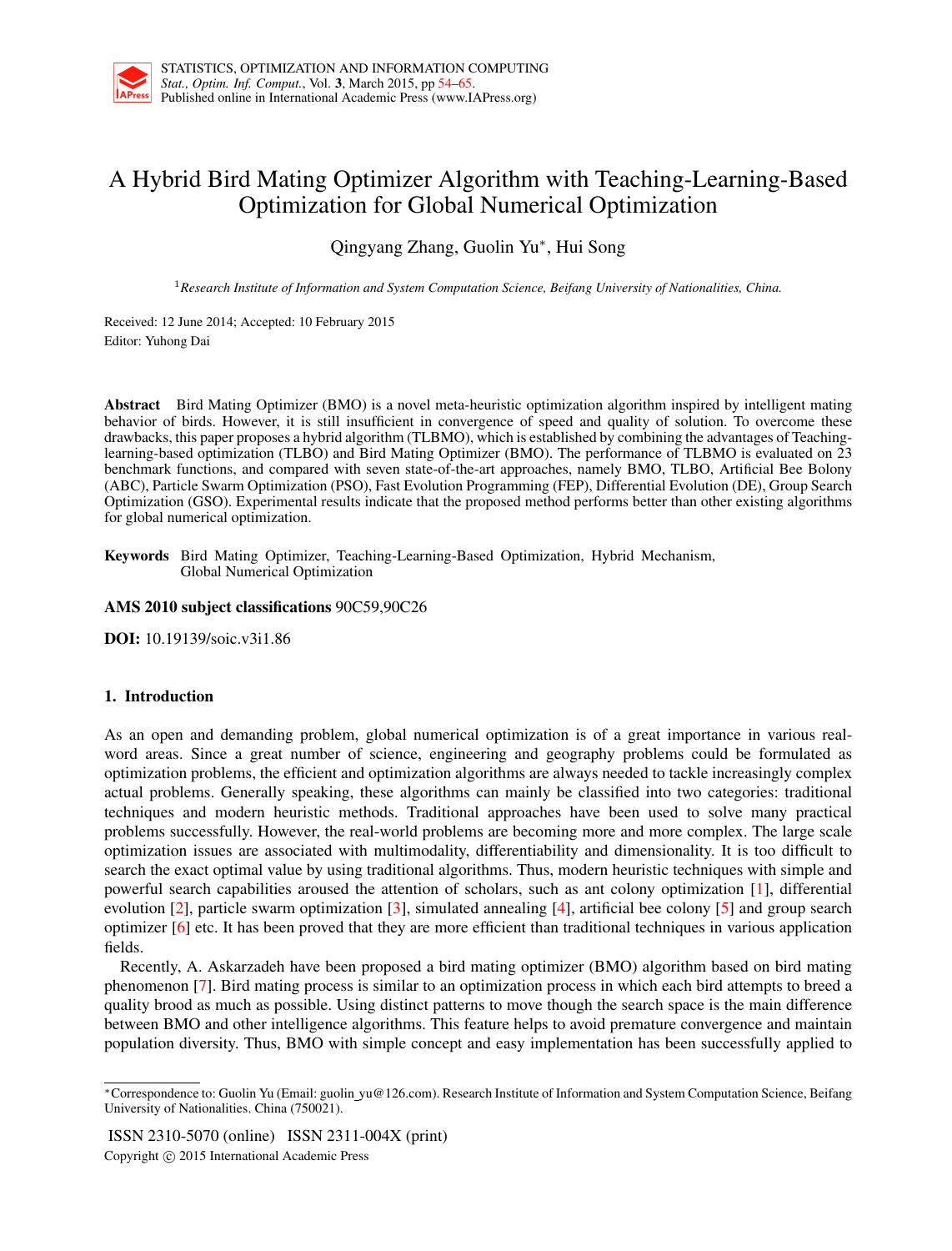# A Hybrid Bird Mating Optimizer Algorithm with Teaching-Learning-Based Optimization for Global Numerical Optimization

Qingyang Zhang, Guolin Yu*<sup>∗</sup>* , Hui Song

<sup>1</sup>*Research Institute of Information and System Computation Science, Beifang University of Nationalities, China.*

Received: 12 June 2014; Accepted: 10 February 2015 Editor: Yuhong Dai

Abstract Bird Mating Optimizer (BMO) is a novel meta-heuristic optimization algorithm inspired by intelligent mating behavior of birds. However, it is still insufficient in convergence of speed and quality of solution. To overcome these drawbacks, this paper proposes a hybrid algorithm (TLBMO), which is established by combining the advantages of Teachinglearning-based optimization (TLBO) and Bird Mating Optimizer (BMO). The performance of TLBMO is evaluated on 23 benchmark functions, and compared with seven state-of-the-art approaches, namely BMO, TLBO, Artificial Bee Bolony (ABC), Particle Swarm Optimization (PSO), Fast Evolution Programming (FEP), Differential Evolution (DE), Group Search Optimization (GSO). Experimental results indicate that the proposed method performs better than other existing algorithms for global numerical optimization.

Keywords Bird Mating Optimizer, Teaching-Learning-Based Optimization, Hybrid Mechanism, Global Numerical Optimization

### AMS 2010 subject classifications 90C59,90C26

DOI: 10.19139/soic.v3i1.86

## 1. Introduction

As an open and demanding problem, global numerical optimization is of a great importance in various realword areas. Since a great number of science, engineering and geography problems could be formulated as optimization problems, the efficient and optimization algorithms are always needed to tackle increasingly complex actual problems. Generally speaking, these algorithms can mainly be classified into two categories: traditional techniques and modern heuristic methods. Traditional approaches have been used to solve many practical problems successfully. However, the real-world problems are becoming more and more complex. The large scale optimization issues are associated with multimodality, differentiability and dimensionality. It is too difficult to search the exact optimal value by using traditional algorithms. Thus, modern heuristic techniques with simple and powerful search capabilities aroused the attention of scholars, such as ant colony optimization [1], differential evolution [2], particle swarm optimization [3], simulated annealing [4], artificial bee colony [5] and group search optimizer [6] etc. It has been proved that they are more efficient than traditional techniques in various application fields.

Recently, A. Askarzadeh have been proposed a bird mating optimizer (BMO) algorithm based on bird mating phenomenon [7]. Bird mating process is similar to an optimization process in which each bird attempts to breed a quality brood as much as possible. Using distinct patterns to move though the search space is the main difference between BMO and other intelligence algorithms. This feature helps to avoid premature convergence and maintain population diversity. Thus, BMO with simple concept and easy implementation has been successfully applied to

ISSN 2310-5070 (online) ISSN 2311-004X (print) Copyright *⃝*c 2015 International Academic Press

*<sup>∗</sup>*Correspondence to: Guolin Yu (Email: guolin yu@126.com). Research Institute of Information and System Computation Science, Beifang University of Nationalities. China (750021).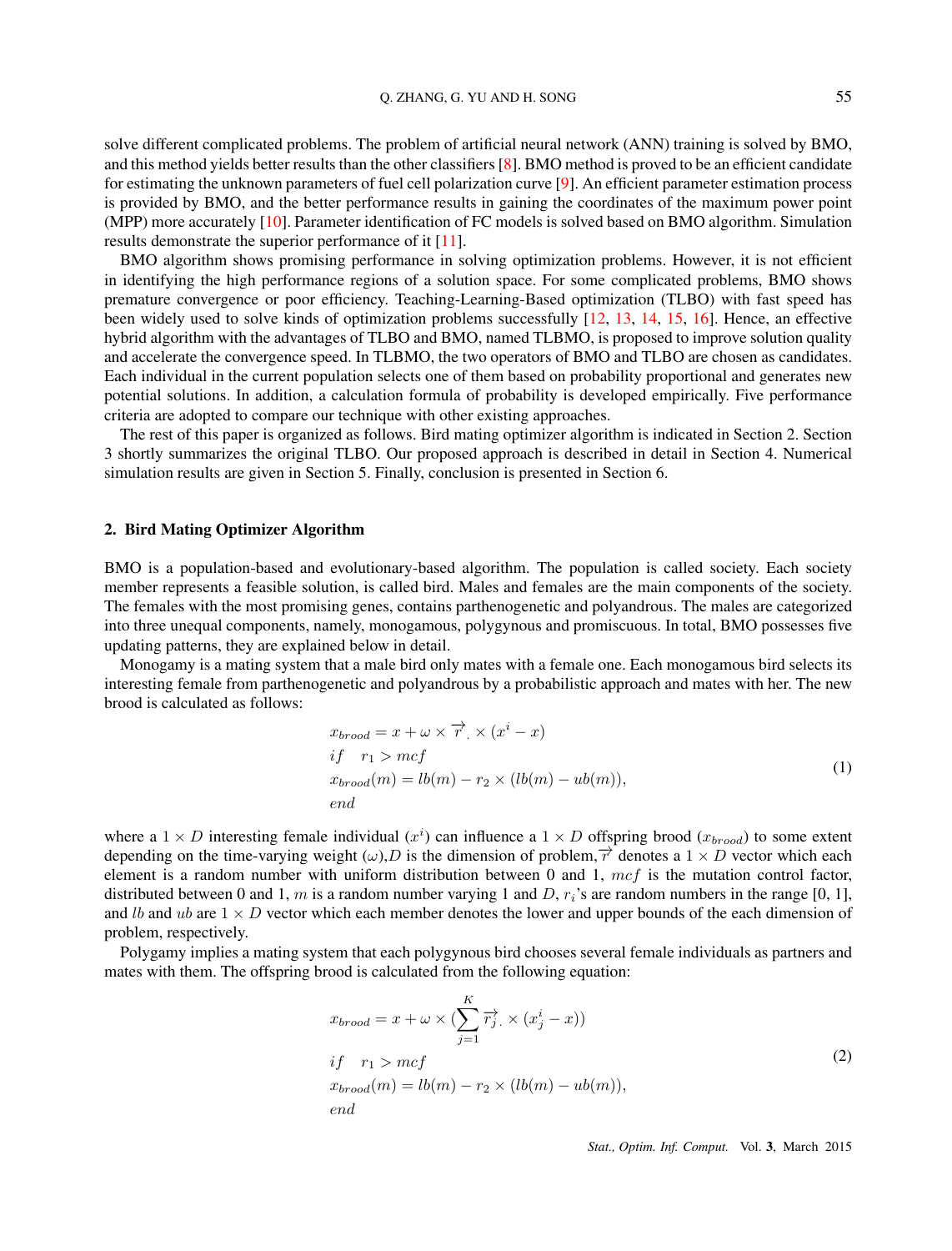solve different complicated problems. The problem of artificial neural network (ANN) training is solved by BMO, and this method yields better results than the other classifiers [8]. BMO method is proved to be an efficient candidate for estimating the unknown parameters of fuel cell polarization curve [9]. An efficient parameter estimation process is provided by BMO, and the better performance results in gaining the coordinates of the maximum power point (MPP) more accurately [10]. Parameter identification of FC models is solved based on BMO algorithm. Simulation results demonstrate the superior performance of it [11].

BMO algorithm shows promising performance in solving optimization problems. However, it is not efficient in identifying the high performance regions of a solution space. For some complicated problems, BMO shows premature convergence or poor efficiency. Teaching-Learning-Based optimization (TLBO) with fast speed has been widely used to solve kinds of optimization problems successfully [12, 13, 14, 15, 16]. Hence, an effective hybrid algorithm with the advantages of TLBO and BMO, named TLBMO, is proposed to improve solution quality and accelerate the convergence speed. In TLBMO, the two operators of BMO and TLBO are chosen as candidates. Each individual in the current population selects one of them based on probability proportional and generates new potential solutions. In addition, a calculation formula of probability is developed empirically. Five performance criteria are adopted to compare our technique with other existing approaches.

The rest of this paper is organized as follows. Bird mating optimizer algorithm is indicated in Section 2. Section 3 shortly summarizes the original TLBO. Our proposed approach is described in detail in Section 4. Numerical simulation results are given in Section 5. Finally, conclusion is presented in Section 6.

#### 2. Bird Mating Optimizer Algorithm

BMO is a population-based and evolutionary-based algorithm. The population is called society. Each society member represents a feasible solution, is called bird. Males and females are the main components of the society. The females with the most promising genes, contains parthenogenetic and polyandrous. The males are categorized into three unequal components, namely, monogamous, polygynous and promiscuous. In total, BMO possesses five updating patterns, they are explained below in detail.

Monogamy is a mating system that a male bird only mates with a female one. Each monogamous bird selects its interesting female from parthenogenetic and polyandrous by a probabilistic approach and mates with her. The new brood is calculated as follows:

$$
x_{broad} = x + \omega \times \overrightarrow{r} \times (x^{i} - x)
$$
  
\nif  $r_1 > mcf$   
\n
$$
x_{broad}(m) = lb(m) - r_2 \times (lb(m) - ub(m)),
$$
  
\n*end* (1)

where a  $1 \times D$  interesting female individual  $(x^i)$  can influence a  $1 \times D$  offspring brood  $(x_{broad})$  to some extent depending on the time-varying weight  $(\omega)$ , *D* is the dimension of problem,  $\overrightarrow{r}$  denotes a 1  $\times$  *D* vector which each element is a random number with uniform distribution between 0 and 1, *mcf* is the mutation control factor, distributed between 0 and 1,  $m$  is a random number varying 1 and  $D$ ,  $r_i$ 's are random numbers in the range [0, 1], and *lb* and *ub* are  $1 \times D$  vector which each member denotes the lower and upper bounds of the each dimension of problem, respectively.

Polygamy implies a mating system that each polygynous bird chooses several female individuals as partners and mates with them. The offspring brood is calculated from the following equation:

$$
x_{broad} = x + \omega \times (\sum_{j=1}^{K} \overrightarrow{r_j} \times (x_j^i - x))
$$
  
\nif  $r_1 > mcf$   
\n
$$
x_{broad}(m) = lb(m) - r_2 \times (lb(m) - ub(m)),
$$
  
\n*end* (2)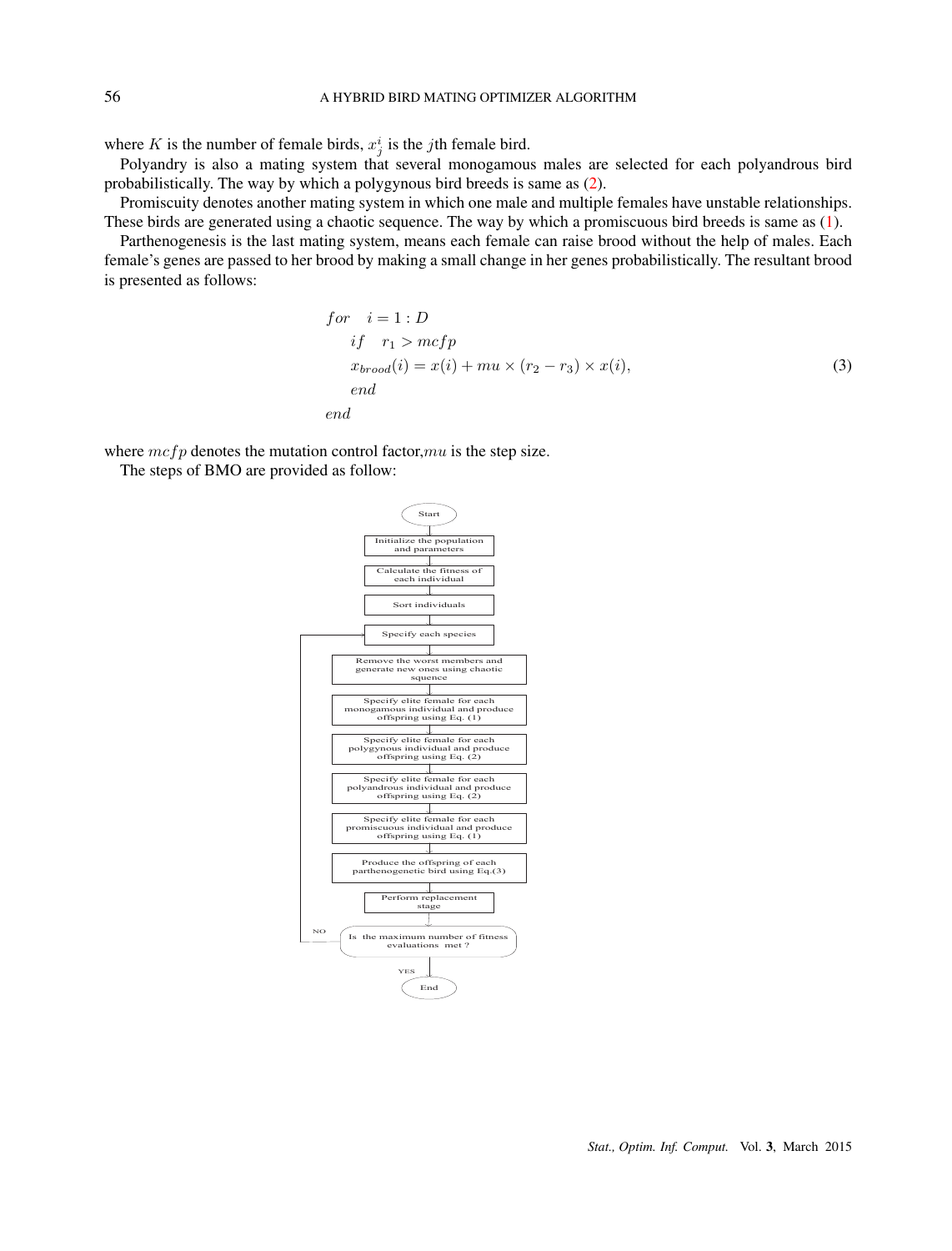where *K* is the number of female birds,  $x_j^i$  is the *j*th female bird.

Polyandry is also a mating system that several monogamous males are selected for each polyandrous bird probabilistically. The way by which a polygynous bird breeds is same as (2).

Promiscuity denotes another mating system in which one male and multiple females have unstable relationships. These birds are generated using a chaotic sequence. The way by which a promiscuous bird breeds is same as (1).

Parthenogenesis is the last mating system, means each female can raise brood without the help of males. Each female's genes are passed to her brood by making a small change in her genes probabilistically. The resultant brood is presented as follows:

$$
for i = 1 : D
$$
  
\n
$$
if r_1 > mcfp
$$
  
\n
$$
x_{broad}(i) = x(i) + mu \times (r_2 - r_3) \times x(i),
$$
  
\n
$$
end
$$
\n(3)

where  $mcfp$  denotes the mutation control factor,  $mu$  is the step size.

The steps of BMO are provided as follow:

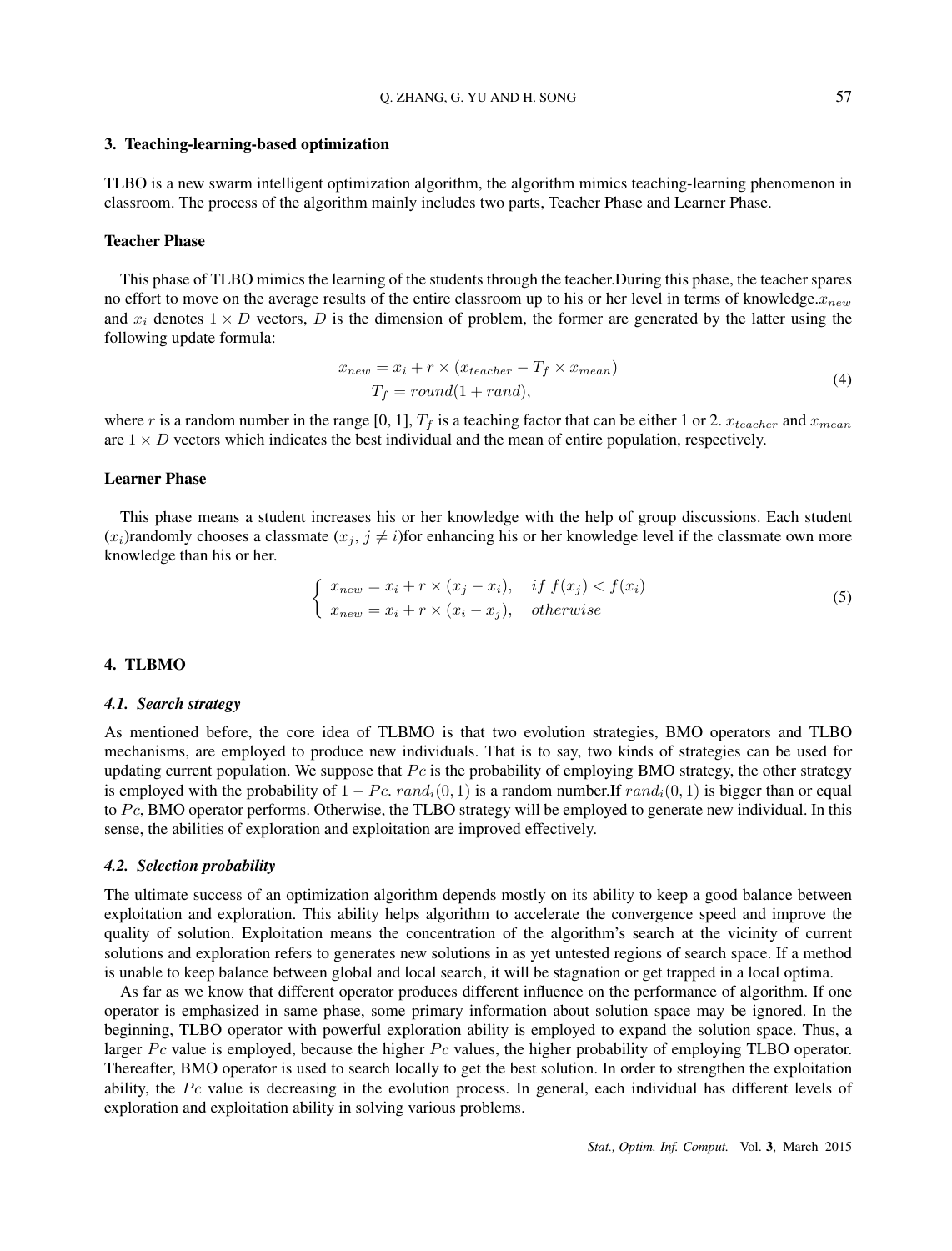#### 3. Teaching-learning-based optimization

TLBO is a new swarm intelligent optimization algorithm, the algorithm mimics teaching-learning phenomenon in classroom. The process of the algorithm mainly includes two parts, Teacher Phase and Learner Phase.

### Teacher Phase

This phase of TLBO mimics the learning of the students through the teacher.During this phase, the teacher spares no effort to move on the average results of the entire classroom up to his or her level in terms of knowledge.*xnew* and  $x_i$  denotes  $1 \times D$  vectors,  $D$  is the dimension of problem, the former are generated by the latter using the following update formula:

$$
x_{new} = x_i + r \times (x_{teacher} - T_f \times x_{mean})
$$
  
\n
$$
T_f = round(1 + rand),
$$
\n(4)

where *r* is a random number in the range [0, 1],  $T_f$  is a teaching factor that can be either 1 or 2.  $x_{teacher}$  and  $x_{mean}$ are  $1 \times D$  vectors which indicates the best individual and the mean of entire population, respectively.

#### Learner Phase

This phase means a student increases his or her knowledge with the help of group discussions. Each student  $(x_i)$ randomly chooses a classmate  $(x_i, j \neq i)$  for enhancing his or her knowledge level if the classmate own more knowledge than his or her.

$$
\begin{cases}\n x_{new} = x_i + r \times (x_j - x_i), & if \ f(x_j) < f(x_i) \\
x_{new} = x_i + r \times (x_i - x_j), & otherwise\n\end{cases} \tag{5}
$$

## 4. TLBMO

#### *4.1. Search strategy*

As mentioned before, the core idea of TLBMO is that two evolution strategies, BMO operators and TLBO mechanisms, are employed to produce new individuals. That is to say, two kinds of strategies can be used for updating current population. We suppose that  $P_c$  is the probability of employing BMO strategy, the other strategy is employed with the probability of  $1 - Pc$ .  $rand_i(0, 1)$  is a random number.If  $rand_i(0, 1)$  is bigger than or equal to *P c*, BMO operator performs. Otherwise, the TLBO strategy will be employed to generate new individual. In this sense, the abilities of exploration and exploitation are improved effectively.

#### *4.2. Selection probability*

The ultimate success of an optimization algorithm depends mostly on its ability to keep a good balance between exploitation and exploration. This ability helps algorithm to accelerate the convergence speed and improve the quality of solution. Exploitation means the concentration of the algorithm's search at the vicinity of current solutions and exploration refers to generates new solutions in as yet untested regions of search space. If a method is unable to keep balance between global and local search, it will be stagnation or get trapped in a local optima.

As far as we know that different operator produces different influence on the performance of algorithm. If one operator is emphasized in same phase, some primary information about solution space may be ignored. In the beginning, TLBO operator with powerful exploration ability is employed to expand the solution space. Thus, a larger *Pc* value is employed, because the higher *Pc* values, the higher probability of employing TLBO operator. Thereafter, BMO operator is used to search locally to get the best solution. In order to strengthen the exploitation ability, the *Pc* value is decreasing in the evolution process. In general, each individual has different levels of exploration and exploitation ability in solving various problems.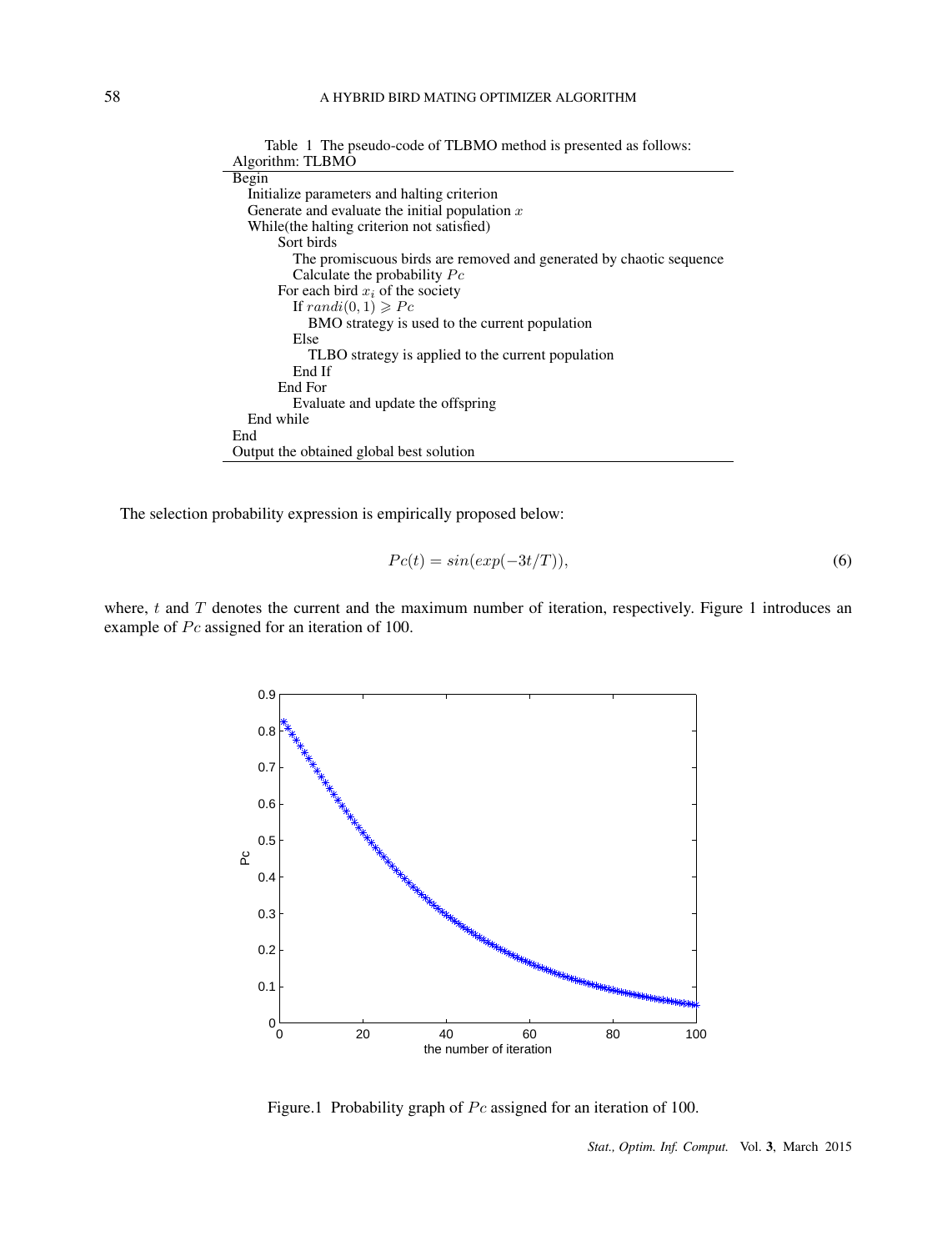| Algorithm: TLBMO                                                    |
|---------------------------------------------------------------------|
| Begin                                                               |
| Initialize parameters and halting criterion                         |
| Generate and evaluate the initial population $x$                    |
| While (the halting criterion not satisfied)                         |
| Sort birds                                                          |
| The promiscuous birds are removed and generated by chaotic sequence |
| Calculate the probability $P_c$                                     |
| For each bird $x_i$ of the society                                  |
| If $randi(0,1) \geqslant Pc$                                        |
| BMO strategy is used to the current population                      |
| Else                                                                |
| TLBO strategy is applied to the current population                  |
| End If                                                              |
| End For                                                             |
| Evaluate and update the offspring                                   |
| End while                                                           |
| End                                                                 |
| Output the obtained global best solution                            |

Table 1 The pseudo-code of TLBMO method is presented as follows:

The selection probability expression is empirically proposed below:

$$
Pc(t) = \sin(\exp(-3t/T)),\tag{6}
$$

where, *t* and *T* denotes the current and the maximum number of iteration, respectively. Figure 1 introduces an example of *Pc* assigned for an iteration of 100.



Figure.1 Probability graph of *Pc* assigned for an iteration of 100.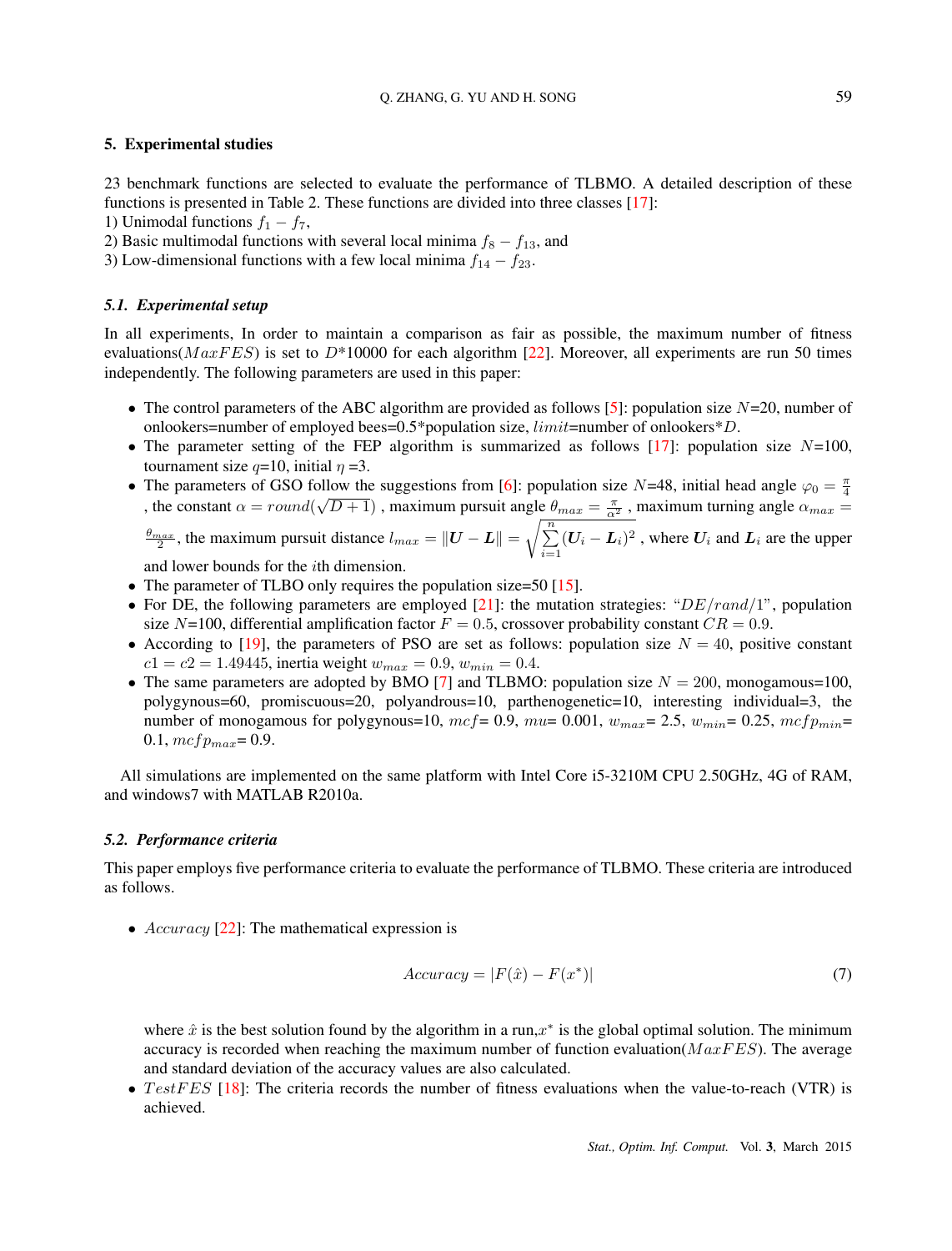#### 5. Experimental studies

23 benchmark functions are selected to evaluate the performance of TLBMO. A detailed description of these functions is presented in Table 2. These functions are divided into three classes [17]:

1) Unimodal functions  $f_1 - f_7$ ,

2) Basic multimodal functions with several local minima  $f_8 - f_{13}$ , and

3) Low-dimensional functions with a few local minima *f*<sup>14</sup> *− f*23.

#### *5.1. Experimental setup*

In all experiments, In order to maintain a comparison as fair as possible, the maximum number of fitness evaluations(*MaxFES*) is set to *D*\*10000 for each algorithm [22]. Moreover, all experiments are run 50 times independently. The following parameters are used in this paper:

- The control parameters of the ABC algorithm are provided as follows [5]: population size *N*=20, number of onlookers=number of employed bees=0.5\*population size, *limit*=number of onlookers\**D*.
- The parameter setting of the FEP algorithm is summarized as follows [17]: population size *N*=100, tournament size  $q=10$ , initial  $\eta=3$ .
- The parameters of GSO follow the suggestions from [6]: population size *N*=48, initial head angle  $\varphi_0 = \frac{\pi}{4}$ , the constant  $\alpha = round(\sqrt{D+1})$ , maximum pursuit angle  $\theta_{max} = \frac{\pi}{\alpha^2}$ , maximum turning angle  $\alpha_{max} =$

 $\frac{\theta_{max}}{2}$ , the maximum pursuit distance  $l_{max} = ||\boldsymbol{U} - \boldsymbol{L}|| = \sqrt{\sum_{i=1}^{n}$  $\sum_{i=1}^{n} (U_i - L_i)^2$ , where  $U_i$  and  $L_i$  are the upper

and lower bounds for the *i*th dimension.

- The parameter of TLBO only requires the population size=50 [15].
- For DE, the following parameters are employed [21]: the mutation strategies: " $DE/rand/1$ ", population size  $N=100$ , differential amplification factor  $F = 0.5$ , crossover probability constant  $CR = 0.9$ .
- According to [19], the parameters of PSO are set as follows: population size  $N = 40$ , positive constant  $c1 = c2 = 1.49445$ , inertia weight  $w_{max} = 0.9$ ,  $w_{min} = 0.4$ .
- The same parameters are adopted by BMO [7] and TLBMO: population size  $N = 200$ , monogamous=100, polygynous=60, promiscuous=20, polyandrous=10, parthenogenetic=10, interesting individual=3, the number of monogamous for polygynous=10,  $mcf = 0.9$ ,  $mu = 0.001$ ,  $w_{max} = 2.5$ ,  $w_{min} = 0.25$ ,  $mcfp_{min} =$ 0.1,  $mcfp_{max} = 0.9$ .

All simulations are implemented on the same platform with Intel Core i5-3210M CPU 2.50GHz, 4G of RAM, and windows7 with MATLAB R2010a.

#### *5.2. Performance criteria*

This paper employs five performance criteria to evaluate the performance of TLBMO. These criteria are introduced as follows.

• *Accuracy* [22]: The mathematical expression is

$$
Accuracy = |F(\hat{x}) - F(x^*)|
$$
\n(7)

where  $\hat{x}$  is the best solution found by the algorithm in a run, $x^*$  is the global optimal solution. The minimum accuracy is recorded when reaching the maximum number of function evaluation(*M axF ES*). The average and standard deviation of the accuracy values are also calculated.

• *TestFES* [18]: The criteria records the number of fitness evaluations when the value-to-reach (VTR) is achieved.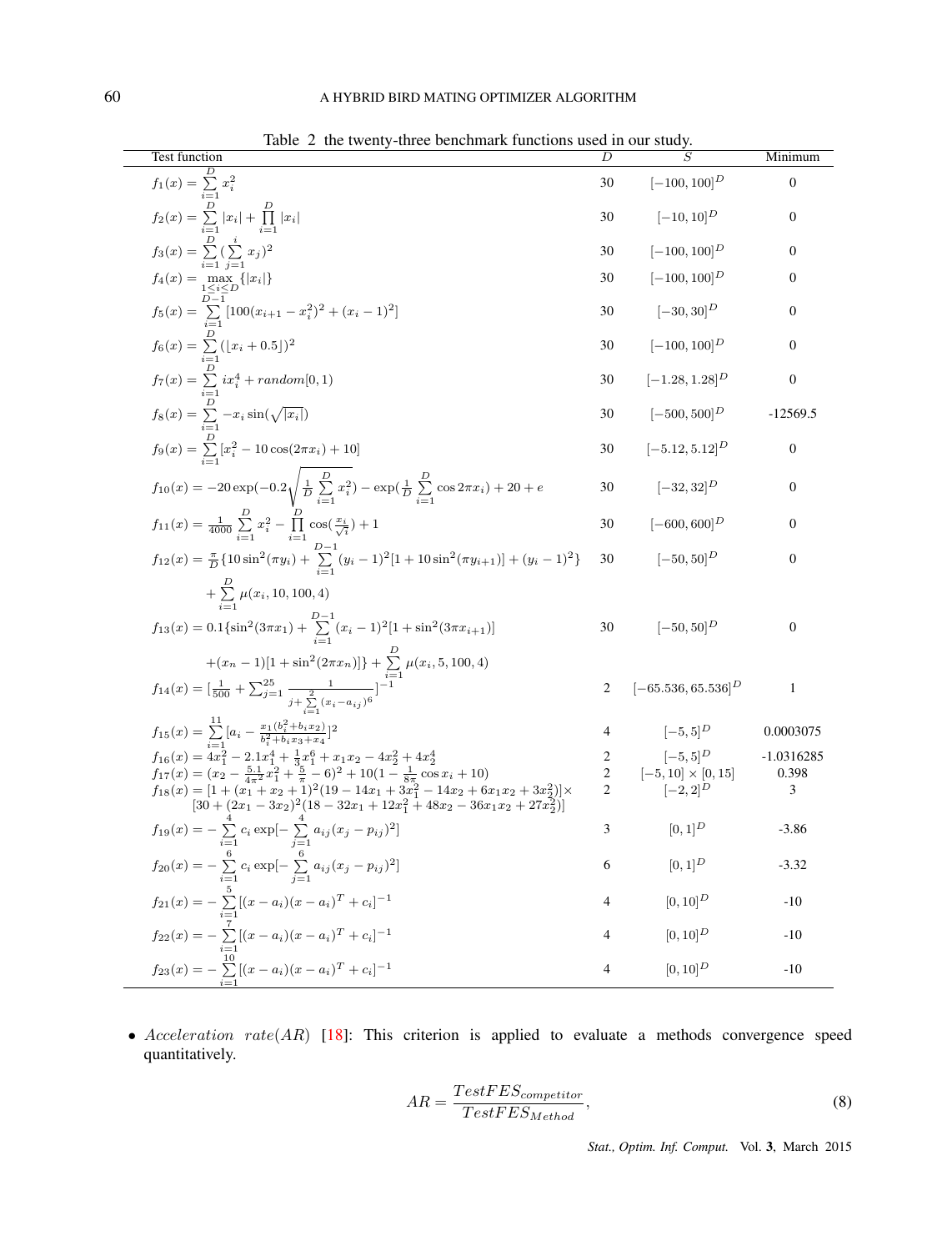| <b>Test function</b>                                                                                                                                                                                                                                                                                                        | D              | $\overline{S}$            | Minimum          |
|-----------------------------------------------------------------------------------------------------------------------------------------------------------------------------------------------------------------------------------------------------------------------------------------------------------------------------|----------------|---------------------------|------------------|
| $f_1(x) = \sum_{i=1}^{L} x_i^2$                                                                                                                                                                                                                                                                                             | 30             | $[-100, 100]^{D}$         | $\boldsymbol{0}$ |
| $f_2(x) = \sum_{i=1}^{D}  x_i  + \prod_{i=1}^{D}  x_i $                                                                                                                                                                                                                                                                     | 30             | $[-10, 10]^{D}$           | $\boldsymbol{0}$ |
| $f_3(x) = \sum_{i=1}^{D} (\sum_{i=1}^{i} x_i)^2$                                                                                                                                                                                                                                                                            | 30             | $[-100, 100]^{D}$         | $\mathbf{0}$     |
| $f_4(x) = \max_{1 \leq i \leq D} \{ x_i \}$                                                                                                                                                                                                                                                                                 | 30             | $[-100, 100]^{D}$         | $\mathbf{0}$     |
| $f_5(x) = \sum_{i=1}^{D-1} [100(x_{i+1} - x_i^2)^2 + (x_i - 1)^2]$                                                                                                                                                                                                                                                          | 30             | $[-30, 30]^{D}$           | $\boldsymbol{0}$ |
| $f_6(x) = \sum_{i=1}^{D} (\lfloor x_i + 0.5 \rfloor)^2$                                                                                                                                                                                                                                                                     | 30             | $[-100, 100]^{D}$         | $\boldsymbol{0}$ |
| $f_7(x) = \sum_{i=1}^{D} ix_i^4 + random[0,1)$                                                                                                                                                                                                                                                                              | 30             | $[-1.28, 1.28]^D$         | $\boldsymbol{0}$ |
| $f_8(x) = \sum_{i=1}^{D} -x_i \sin(\sqrt{ x_i })$                                                                                                                                                                                                                                                                           | 30             | $[-500, 500]^{D}$         | $-12569.5$       |
| $f_9(x) = \sum_{i=1}^{D} [x_i^2 - 10 \cos(2\pi x_i) + 10]$                                                                                                                                                                                                                                                                  | 30             | $[-5.12, 5.12]^{D}$       | $\boldsymbol{0}$ |
| $f_{10}(x) = -20 \exp(-0.2 \sqrt{\frac{1}{D} \sum_{i=1}^{D} x_i^2}) - \exp(\frac{1}{D} \sum_{i=1}^{D} \cos 2\pi x_i) + 20 + e$                                                                                                                                                                                              | 30             | $[-32, 32]^{D}$           | $\boldsymbol{0}$ |
| $f_{11}(x) = \frac{1}{4000} \sum_{i=1}^{D} x_i^2 - \prod_{i=1}^{D} \cos(\frac{x_i}{\sqrt{i}}) + 1$                                                                                                                                                                                                                          | 30             | $[-600, 600]^D$           | $\mathbf{0}$     |
| $f_{12}(x) = \frac{\pi}{D} \{ 10 \sin^2(\pi y_i) + \sum_{i=1}^{D-1} (y_i - 1)^2 [1 + 10 \sin^2(\pi y_{i+1})] + (y_i - 1)^2 \}$                                                                                                                                                                                              | 30             | $[-50, 50]^{D}$           | $\mathbf{0}$     |
| $+\sum_{i=1}^{1} \mu(x_i, 10, 100, 4)$                                                                                                                                                                                                                                                                                      |                |                           |                  |
| $f_{13}(x) = 0.1\{\sin^2(3\pi x_1) + \sum_{i=1}^{D-1} (x_i - 1)^2[1 + \sin^2(3\pi x_{i+1})]$                                                                                                                                                                                                                                | 30             | $[-50, 50]^D$             | $\boldsymbol{0}$ |
| $+(x_n-1)[1+\sin^2(2\pi x_n)] + \sum_{i=1}^{D} \mu(x_i, 5, 100, 4)$                                                                                                                                                                                                                                                         |                |                           |                  |
| $f_{14}(x) = \left[\frac{1}{500} + \sum_{j=1}^{25} \frac{1}{j + \sum_{i=1}^{2} (x_i - a_{ij})^6}\right]^{-1}$                                                                                                                                                                                                               | 2              | $[-65.536, 65.536]^D$     | 1                |
| $f_{15}(x) = \sum_{i=1}^{11} [a_i - \frac{x_1(b_i^2 + b_i x_2)}{b_i^2 + b_i x_3 + x_4}]^2$                                                                                                                                                                                                                                  | 4              | $[-5,5]^{D}$              | 0.0003075        |
|                                                                                                                                                                                                                                                                                                                             | 2              | $[-5, 5]^{D}$             | -1.0316285       |
|                                                                                                                                                                                                                                                                                                                             | 2              | $[-5, 10] \times [0, 15]$ | 0.398            |
| $\begin{array}{l} f_{16}(x) = \frac{i-1}{4x_1^2} - 2.1x_1^4 + \frac{1}{3}x_1^6 + x_1x_2 - 4x_2^2 + 4x_2^4\\ f_{17}(x) = (x_2 - \frac{5.1}{4\pi^2}x_1^2 + \frac{5}{\pi} - 6)^2 + 10(1 - \frac{1}{8\pi}\cos x_i + 10)\\ f_{18}(x) = [1 + (x_1 + x_2 + 1)^2(19 - 14x_1 + 3x_1^2 - 14x_2 + 6x_1x_2 + 3x_2^2)] \times\\ [30 + ($ | 2              | $[-2, 2]^{D}$             | 3                |
| $f_{19}(x) = -\sum_{i=1}^{ } c_i \exp[-\sum_{i=1}^{ } a_{ij}(x_j - p_{ij})^2]$                                                                                                                                                                                                                                              | 3              | $[0,1]^{D}$               | $-3.86$          |
| $f_{20}(x) = -\sum_{i=1}^{6} c_i \exp[-\sum_{i=1}^{6} a_{ij}(x_j - p_{ij})^2]$                                                                                                                                                                                                                                              | 6              | $[0,1]^{D}$               | $-3.32$          |
| $f_{21}(x) = -\sum_{i=1}^{5} [(x-a_i)(x-a_i)^T + c_i]^{-1}$                                                                                                                                                                                                                                                                 | $\overline{4}$ | $[0, 10]^{D}$             | $-10$            |
| $f_{22}(x) = -\sum_{i=1}^{7} [(x-a_i)(x-a_i)^T + c_i]^{-1}$                                                                                                                                                                                                                                                                 | $\overline{4}$ | $[0, 10]^{D}$             | $-10$            |
| $f_{23}(x) = -\sum_{i=1}^{10} [(x-a_i)(x-a_i)^T + c_i]^{-1}$                                                                                                                                                                                                                                                                | $\overline{4}$ | $[0, 10]^{D}$             | $-10$            |

Table 2 the twenty-three benchmark functions used in our study.

• *Acceleration rate*(*AR*) [18]: This criterion is applied to evaluate a methods convergence speed quantitatively.

$$
AR = \frac{TestFES_{competitive}}{TestFES_{Method}},
$$
\n(8)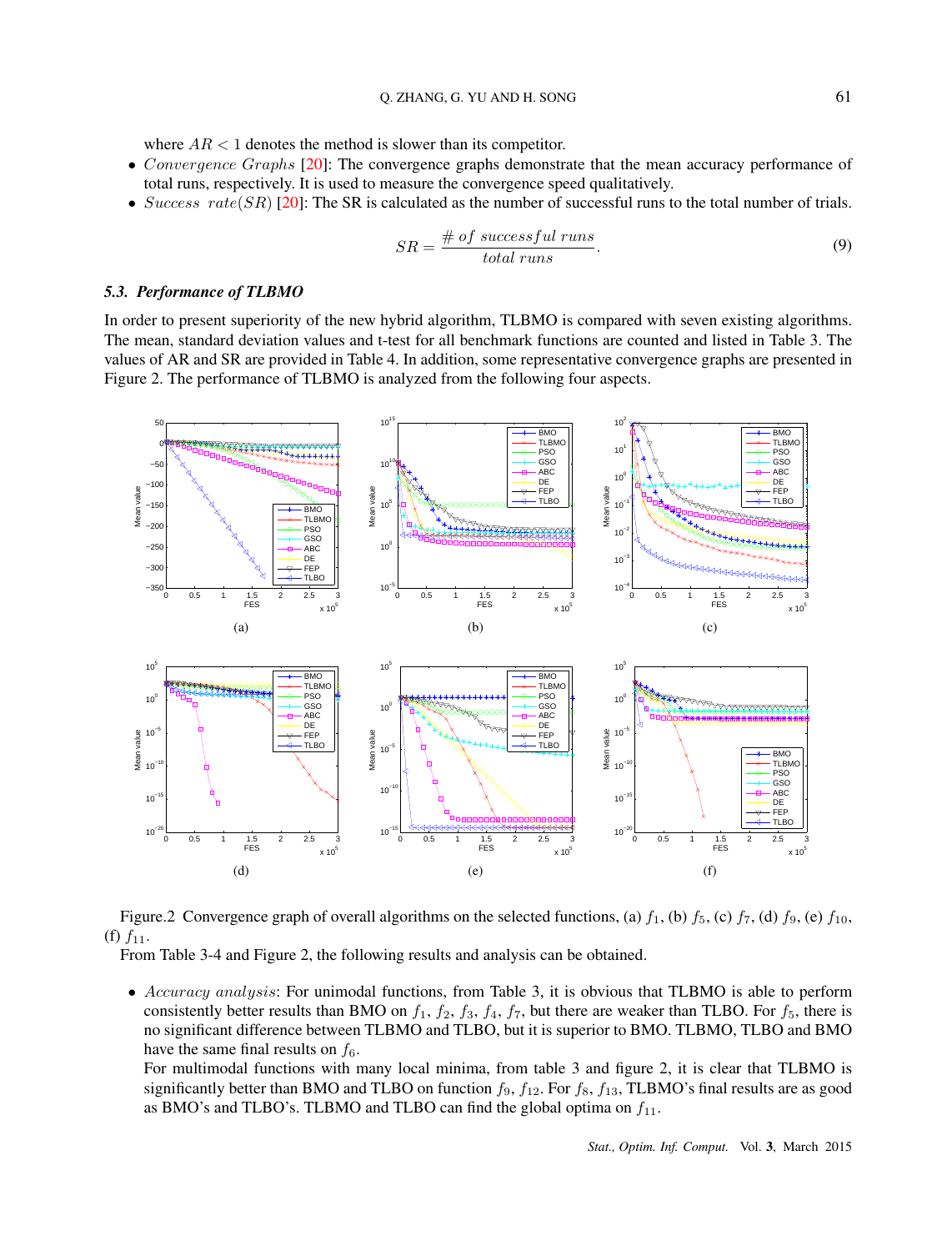where  $AR < 1$  denotes the method is slower than its competitor.

- *Convergence Graphs* [20]: The convergence graphs demonstrate that the mean accuracy performance of total runs, respectively. It is used to measure the convergence speed qualitatively.
- *Success rate*(*SR*) [20]: The SR is calculated as the number of successful runs to the total number of trials.

$$
SR = \frac{\text{# of successful runs}}{\text{total runs}}.\tag{9}
$$

#### *5.3. Performance of TLBMO*

In order to present superiority of the new hybrid algorithm, TLBMO is compared with seven existing algorithms. The mean, standard deviation values and t-test for all benchmark functions are counted and listed in Table 3. The values of AR and SR are provided in Table 4. In addition, some representative convergence graphs are presented in Figure 2. The performance of TLBMO is analyzed from the following four aspects.



Figure.2 Convergence graph of overall algorithms on the selected functions, (a)  $f_1$ , (b)  $f_5$ , (c)  $f_7$ , (d)  $f_9$ , (e)  $f_{10}$ , (f)  $f_{11}$ .

From Table 3-4 and Figure 2, the following results and analysis can be obtained.

*• Accuracy analysis*: For unimodal functions, from Table 3, it is obvious that TLBMO is able to perform consistently better results than BMO on  $f_1$ ,  $f_2$ ,  $f_3$ ,  $f_4$ ,  $f_7$ , but there are weaker than TLBO. For  $f_5$ , there is no significant difference between TLBMO and TLBO, but it is superior to BMO. TLBMO, TLBO and BMO have the same final results on  $f_6$ .

For multimodal functions with many local minima, from table 3 and figure 2, it is clear that TLBMO is significantly better than BMO and TLBO on function *f*9, *f*12. For *f*8, *f*13, TLBMO's final results are as good as BMO's and TLBO's. TLBMO and TLBO can find the global optima on *f*11.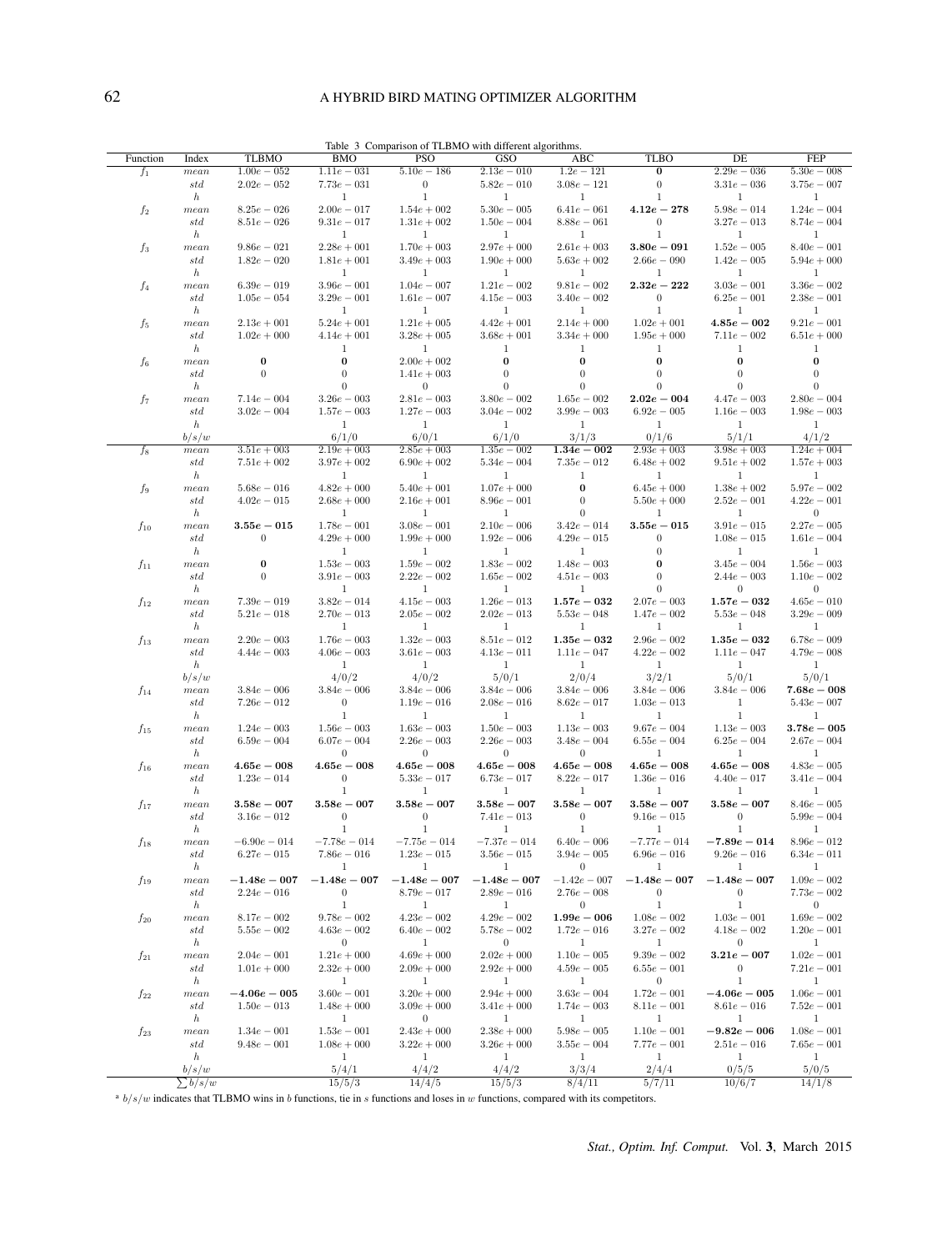## 62 A HYBRID BIRD MATING OPTIMIZER ALGORITHM

| Function       | Index                    | <b>TLBMO</b>                 | $\overline{B}MO$               | <b>PSO</b>                     | Table 3 Comparison of TLBMO with different algorithms.<br>GSO | ABC                           | <b>TLBO</b>                    | DE                            | FEP                            |
|----------------|--------------------------|------------------------------|--------------------------------|--------------------------------|---------------------------------------------------------------|-------------------------------|--------------------------------|-------------------------------|--------------------------------|
| $f_1$          | mean                     | $1.00e - 0.52$               | $1.11e - 031$                  | $5.10e - 186$                  | $2.13e - 010$                                                 | $1.2e - 121$                  | 0                              | $2.29e - 0.36$                | $5.30e - 008$                  |
|                | std                      | $2.02e - 052$                | $7.73e - 031$                  | $\mathbf{0}$                   | $5.82e - 010$                                                 | $3.08e - 121$                 | $\boldsymbol{0}$               | $3.31e - 036$                 | $3.75e - 007$                  |
|                | $\boldsymbol{h}$         |                              | 1                              | $\mathbf{1}$                   | 1                                                             | $\mathbf{1}$                  | $\mathbf{1}$                   | 1                             | 1                              |
| $f_2$          | mean                     | $8.25e - 0.26$               | $2.00e - 017$                  | $1.54e + 002$                  | $5.30e - 005$                                                 | $6.41e - 061$                 | $4.12e - 278$                  | $5.98e - 014$                 | $1.24e - 004$                  |
|                | std                      | $8.51e - 0.26$               | $9.31e - 017$                  | $1.31e + 0.02$                 | $1.50e - 004$                                                 | $8.88e - 061$                 | $\mathbf{0}$                   | $3.27e - 013$                 | $8.74e - 004$                  |
|                | $\hbar$                  |                              | 1                              | 1                              | 1                                                             | 1                             | 1                              | 1                             | 1                              |
| $f_3$          | mean                     | $9.86e - 021$                | $2.28e + 001$                  | $1.70e + 003$                  | $2.97e + 000$                                                 | $2.61e + 0.03$                | $3.80e-091$                    | $1.52e - 005$                 | $8.40e - 001$                  |
|                | std                      | $1.82e - 0.20$               | $1.81e + 001$                  | $3.49e + 003$                  | $1.90e + 000$                                                 | $5.63e + 002$                 | $2.66e - 090$                  | $1.42e - 005$                 | $5.94e + 000$                  |
|                | $\boldsymbol{h}$         |                              | 1                              | 1                              | $\mathbf{1}$                                                  | 1                             | 1                              | 1                             | 1                              |
| f <sub>4</sub> | mean                     | $6.39e - 019$                | $3.96e - 001$                  | $1.04e - 007$                  | $1.21e - 002$                                                 | $9.81e - 002$                 | $2.32e - 222$                  | $3.03e - 001$                 | $3.36e - 002$                  |
|                | std                      | $1.05e - 0.54$               | $3.29e - 001$                  | $1.61e - 007$                  | $4.15e - 003$                                                 | $3.40e - 002$                 | $\mathbf{0}$                   | $6.25e - 001$                 | $2.38e - 001$                  |
|                | $\boldsymbol{h}$<br>mean | $2.13e + 001$                | 1<br>$5.24e + 001$             | $\mathbf{1}$<br>$1.21e + 0.05$ | $\mathbf{1}$<br>$4.42e + 001$                                 | $\mathbf{1}$<br>$2.14e + 000$ | 1<br>$1.02e + 001$             | 1<br>$4.85e-002$              | 1<br>$9.21e - 001$             |
| $f_5$          | std                      | $1.02e + 0.00$               | $4.14e + 001$                  | $3.28e + 005$                  | $3.68e + 001$                                                 | $3.34e + 000$                 | $1.95e + 000$                  | $7.11e - 002$                 | $6.51e + 000$                  |
|                | $\boldsymbol{h}$         |                              | 1                              | 1                              | 1                                                             | 1                             | 1                              | 1                             | 1                              |
| $f_6$          | mean                     | 0                            | $\bf{0}$                       | $2.00e + 002$                  | 0                                                             | $\boldsymbol{0}$              | $\bf{0}$                       | $\bf{0}$                      | $\bf{0}$                       |
|                | std                      | $\mathbf{0}$                 | $\theta$                       | $1.41e + 0.03$                 | $\mathbf{0}$                                                  | $\boldsymbol{0}$              | $\boldsymbol{0}$               | $\theta$                      | $\theta$                       |
|                | $\boldsymbol{h}$         |                              | $\overline{0}$                 | $\mathbf{0}$                   | $\theta$                                                      | $\overline{0}$                | $\overline{0}$                 | $\theta$                      | $\overline{0}$                 |
| f7             | mean                     | $7.14e - 004$                | $3.26e - 003$                  | $2.81e - 003$                  | $3.80e - 002$                                                 | $1.65e - 002$                 | $2.02e - 004$                  | $4.47e - 003$                 | $2.80e - 004$                  |
|                | std                      | $3.02e - 004$                | $1.57e - 003$                  | $1.27e - 003$                  | $3.04e - 002$                                                 | $3.99e - 003$                 | $6.92e - 005$                  | $1.16e - 003$                 | $1.98e - 003$                  |
|                | $\boldsymbol{h}$         |                              | $\mathbf{1}$                   | $\mathbf{1}$                   | $\mathbf{1}$                                                  | $\mathbf{1}$                  | $\mathbf{1}$                   | $\mathbf{1}$                  | $\mathbf{1}$                   |
|                | b/s/w                    |                              | 6/1/0                          | 6/0/1                          | 6/1/0                                                         | 3/1/3                         | 0/1/6                          | 5/1/1                         | 4/1/2                          |
| $f_8$          | mean                     | $3.51e + 003$                | $2.19e + 003$                  | $2.85e + 003$                  | $1.35e - 002$                                                 | $1.34e - 002$                 | $2.93e+003$                    | $3.98e + 003$                 | $1.24e + 004$                  |
|                | std                      | $7.51e + 002$                | $3.97e + 002$                  | $6.90e + 002$                  | $5.34e - 004$                                                 | $7.35e - 012$                 | $6.48e + 002$                  | $9.51e + 002$                 | $1.57e + 003$                  |
|                | $\boldsymbol{h}$         |                              | 1                              | 1                              | 1                                                             | 1                             | 1                              | 1                             | 1                              |
| $f_9$          | mean                     | $5.68e - 016$                | $4.82e + 000$                  | $5.40e + 001$                  | $1.07e + 0.00$                                                | $\bf{0}$                      | $6.45e + 000$                  | $1.38e + 002$                 | $5.97e - 002$                  |
|                | std                      | $4.02e - 015$                | $2.68e + 000$                  | $2.16e + 001$                  | $8.96e - 001$                                                 | $\boldsymbol{0}$              | $5.50e + 000$                  | $2.52e - 001$                 | $4.22e - 001$                  |
|                | $\boldsymbol{h}$         |                              | 1                              | 1                              | 1                                                             | $\boldsymbol{0}$              | 1                              | 1                             | $\mathbf{0}$                   |
| $f_{10}$       | mean                     | $3.55e-015$                  | $1.78e - 001$                  | $3.08e - 001$                  | $2.10e - 006$                                                 | $3.42e - 014$                 | $3.55e-015$                    | $3.91e - 015$                 | $2.27e - 005$                  |
|                | std                      | $\mathbf{0}$                 | $4.29e + 000$                  | $1.99e + 000$                  | $1.92e - 006$                                                 | $4.29e - 015$                 | $\mathbf{0}$                   | $1.08e - 0.15$                | $1.61e - 004$                  |
|                | $\boldsymbol{h}$         |                              | $\mathbf{1}$                   | 1                              | $\mathbf{1}$                                                  | 1                             | $\boldsymbol{0}$               | 1                             | $\mathbf{1}$                   |
| $f_{11}$       | mean                     | $\boldsymbol{0}$<br>$\theta$ | $1.53e - 003$<br>$3.91e - 003$ | $1.59e - 002$<br>$2.22e - 002$ | $1.83e - 002$                                                 | $1.48e - 003$                 | $\bf{0}$<br>$\boldsymbol{0}$   | $3.45e - 004$                 | $1.56e - 003$<br>$1.10e - 002$ |
|                | std                      |                              | $\mathbf{1}$                   | 1                              | $1.65e - 002$                                                 | $4.51e - 003$<br>1            | $\theta$                       | $2.44e - 003$<br>$\mathbf{0}$ | $\overline{0}$                 |
|                | $\boldsymbol{h}$<br>mean | $7.39e - 019$                | $3.82e - 014$                  | $4.15e - 003$                  | $\mathbf{1}$<br>$1.26e - 013$                                 | $1.57e - 032$                 | $2.07e - 0.03$                 | $1.57e - 032$                 | $4.65e - 010$                  |
| $f_{12}$       | std                      | $5.21e - 0.18$               | $2.70e - 013$                  | $2.05e - 002$                  | $2.02e - 0.13$                                                | $5.53e - 0.48$                | $1.47e - 002$                  | $5.53e - 048$                 | $3.29e - 009$                  |
|                | $\hbar$                  |                              | $\mathbf{1}$                   | 1                              | $\mathbf{1}$                                                  | $\mathbf{1}$                  | 1                              | $\mathbf{1}$                  | 1                              |
| $f_{13}$       | mean                     | $2.20e - 003$                | $1.76e - 003$                  | $1.32e - 0.03$                 | $8.51e - 012$                                                 | $1.35e - 032$                 | $2.96e - 002$                  | $1.35e - 032$                 | $6.78e - 009$                  |
|                | std                      | $4.44e - 003$                | $4.06e - 003$                  | $3.61e - 003$                  | $4.13e - 011$                                                 | $1.11e - 0.47$                | $4.22e - 002$                  | $1.11e - 0.47$                | $4.79e - 008$                  |
|                | $\boldsymbol{h}$         |                              | 1                              | $\mathbf{1}$                   | 1                                                             | 1                             | $\mathbf{1}$                   | 1                             | 1                              |
|                | b/s/w                    |                              | 4/0/2                          | 4/0/2                          | 5/0/1                                                         | 2/0/4                         | 3/2/1                          | 5/0/1                         | 5/0/1                          |
| $f_{14}$       | mean                     | $3.84e - 006$                | $3.84e - 006$                  | $3.84e - 006$                  | $3.84e - 006$                                                 | $3.84e - 006$                 | $3.84e - 006$                  | $3.84e - 006$                 | $7.68e - 008$                  |
|                | std                      | $7.26e - 012$                | $\boldsymbol{0}$               | $1.19e - 016$                  | $2.08e - 016$                                                 | $8.62e - 017$                 | $1.03e - 013$                  | 1                             | $5.43e - 007$                  |
|                | $\boldsymbol{h}$         |                              | 1                              | 1                              | 1                                                             | 1                             | $\mathbf{1}$                   | 1                             | 1                              |
| $f_{15}$       | mean                     | $1.24e - 003$                | $1.56e - 003$                  | $1.63e - 003$                  | $1.50e - 003$                                                 | $1.13e - 003$                 | $9.67e - 004$                  | $1.13e - 003$                 | $3.78e - 005$                  |
|                | std                      | $6.59e - 004$                | $6.07e - 004$                  | $2.26e - 003$                  | $2.26e - 003$                                                 | $3.48e - 004$                 | $6.55e - 004$                  | $6.25e - 004$                 | $2.67e - 004$                  |
|                | $\boldsymbol{h}$         |                              | $\mathbf{0}$                   | $\mathbf{0}$                   | $\mathbf{0}$                                                  | $\mathbf{0}$                  | $\mathbf{1}$                   | 1                             | 1                              |
| $f_{16}$       | mean                     | $4.65e - 008$                | $4.65e-008$                    | $4.65e - 008$                  | $4.65e-008$                                                   | $4.65e-008$                   | $4.65e-008$                    | $4.65e-008$                   | $4.83e - 005$                  |
|                | std                      | $1.23e - 014$                | $\boldsymbol{0}$               | $5.33e - 017$                  | $6.73e - 017$                                                 | $8.22e - 017$                 | $1.36e - 0.16$                 | $4.40e - 017$                 | $3.41e - 004$                  |
|                | $\boldsymbol{h}$         |                              | 1                              | 1                              | $\mathbf{1}$                                                  | 1                             | $\mathbf{1}$                   | 1                             | 1                              |
| $f_{17}$       | mean                     | $3.58e - 007$                | $3.58e - 007$                  | $3.58e - 007$                  | $3.58e - 007$                                                 | $3.58e - 007$                 | $3.58e - 007$                  | $3.58e - 007$                 | $8.46e - 005$                  |
|                | std                      | $3.16e - 012$                | $\boldsymbol{0}$<br>1          | $\mathbf{0}$<br>1              | $7.41e - 013$                                                 | $\mathbf{0}$<br>$\mathbf{1}$  | $9.16e - 015$                  | $\mathbf{0}$<br>1             | $5.99e - 004$                  |
|                | $\boldsymbol{h}$         | $-6.90e - 014$               | $-7.78e - 014$                 | $-7.75e - 014$                 | $\mathbf{1}$<br>$-7.37e - 0.14$                               | $6.40e - 006$                 | $\mathbf{1}$<br>$-7.77e - 014$ | $-7.89e - 014$                | 1<br>$8.96e - 012$             |
| $f_{18}$       | mean<br>std              | $6.27e - 015$                | $7.86e - 016$                  | $1.23e - 015$                  | $3.56e - 015$                                                 | $3.94e - 005$                 | $6.96e - 016$                  | $9.26e - 016$                 | $6.34e - 011$                  |
|                | $\boldsymbol{h}$         |                              | 1                              | 1                              | 1                                                             | $\overline{0}$                | $\mathbf{1}$                   | 1                             | $\mathbf{1}$                   |
| $f_{19}$       | mean                     | $-1.48e - 007$               | $-1.48e - 007$                 | $-1.48e - 007$                 | $-1.48e - 007$                                                | $-1.42e - 007$                | $-1.48e - 007$                 | $-1.48e - 007$                | $1.09e - 002$                  |
|                | std                      | $2.24e - 016$                | 0                              | $8.79e - 017$                  | $2.89e - 016$                                                 | $2.76e - 008$                 | $\mathbf{0}$                   | $\mathbf{0}$                  | $7.73e - 002$                  |
|                | $\boldsymbol{h}$         |                              | 1                              | $\mathbf{1}$                   | $\mathbf{1}$                                                  | $\boldsymbol{0}$              | $\mathbf{1}$                   | 1                             | $\overline{0}$                 |
| $f_{20}$       | mean                     | $8.17e - 002$                | $9.78e - 002$                  | $4.23e - 002$                  | $4.29e - 002$                                                 | $1.99e - 006$                 | $1.08e - 002$                  | $1.03e - 001$                 | $1.69e - 002$                  |
|                | std                      | $5.55e - 002$                | $4.63e - 002$                  | $6.40e - 002$                  | $5.78e - 002$                                                 | $1.72e - 0.06$                | $3.27e - 002$                  | $4.18e - 002$                 | $1.20e - 001$                  |
|                | $\boldsymbol{h}$         |                              | $\mathbf{0}$                   | $\mathbf{1}$                   | $\overline{0}$                                                | 1                             | $\mathbf{1}$                   | $\mathbf{0}$                  | $\mathbf{1}$                   |
| $f_{21}$       | mean                     | $2.04e - 001$                | $1.21e + 0.00$                 | $4.69e + 000$                  | $2.02e + 0.00$                                                | $1.10e - 005$                 | $9.39e - 002$                  | $3.21e-007$                   | $1.02e - 001$                  |
|                | std                      | $1.01e + 0.00$               | $2.32e + 0.00$                 | $2.09e + 0.00$                 | $2.92e + 0.00$                                                | $4.59e - 005$                 | $6.55e - 001$                  | $\boldsymbol{0}$              | $7.21e - 001$                  |
|                | $\boldsymbol{h}$         |                              | $\mathbf{1}$                   | $\mathbf{1}$                   | $\mathbf{1}$                                                  | $\mathbf{1}$                  | $\overline{0}$                 | $\mathbf{1}$                  | 1                              |
| $f_{22}$       | mean                     | $-4.06e-005$                 | $3.60e - 001$                  | $3.20e + 000$                  | $2.94e + 000$                                                 | $3.63e - 004$                 | $1.72e - 001$                  | $-4.06e-005$                  | $1.06e - 001$                  |
|                | std                      | $1.50e - 013$                | $1.48e + 000$                  | $3.09e + 000$                  | $3.41e + 000$                                                 | $1.74e - 003$                 | $8.11e - 001$                  | $8.61e - 016$                 | $7.52e - 001$                  |
|                | $\boldsymbol{h}$         |                              | 1                              | $\boldsymbol{0}$               | $\mathbf{1}$                                                  | $\mathbf{1}$                  | 1                              | 1                             | $\mathbf{1}$                   |
| $f_{23}$       | mean                     | $1.34e - 001$                | $1.53e - 001$                  | $2.43e + 000$                  | $2.38e + 000$                                                 | $5.98e - 005$                 | $1.10e - 001$                  | $-9.82e-006$                  | $1.08e - 001$                  |
|                | std                      | $9.48e - 001$                | $1.08e + 000$                  | $3.22e + 000$                  | $3.26e + 000$                                                 | $3.55e - 004$                 | $7.77e - 001$                  | $2.51e - 016$                 | $7.65e - 001$                  |
|                | $\boldsymbol{h}$         |                              | $\mathbf{1}$                   | $\mathbf{1}$                   | $\mathbf{1}$                                                  | 1                             | $\mathbf{1}$                   | 1                             | $\mathbf{1}$                   |
|                | b/s/w                    |                              | 5/4/1                          | 4/4/2                          | 4/4/2                                                         | 3/3/4                         | 2/4/4                          | 0/5/5                         | 5/0/5                          |
|                | $\sum b/s/w$             |                              | 15/5/3                         | 14/4/5                         | 15/5/3                                                        | 8/4/11                        | 5/7/11                         | 10/6/7                        | 14/1/8                         |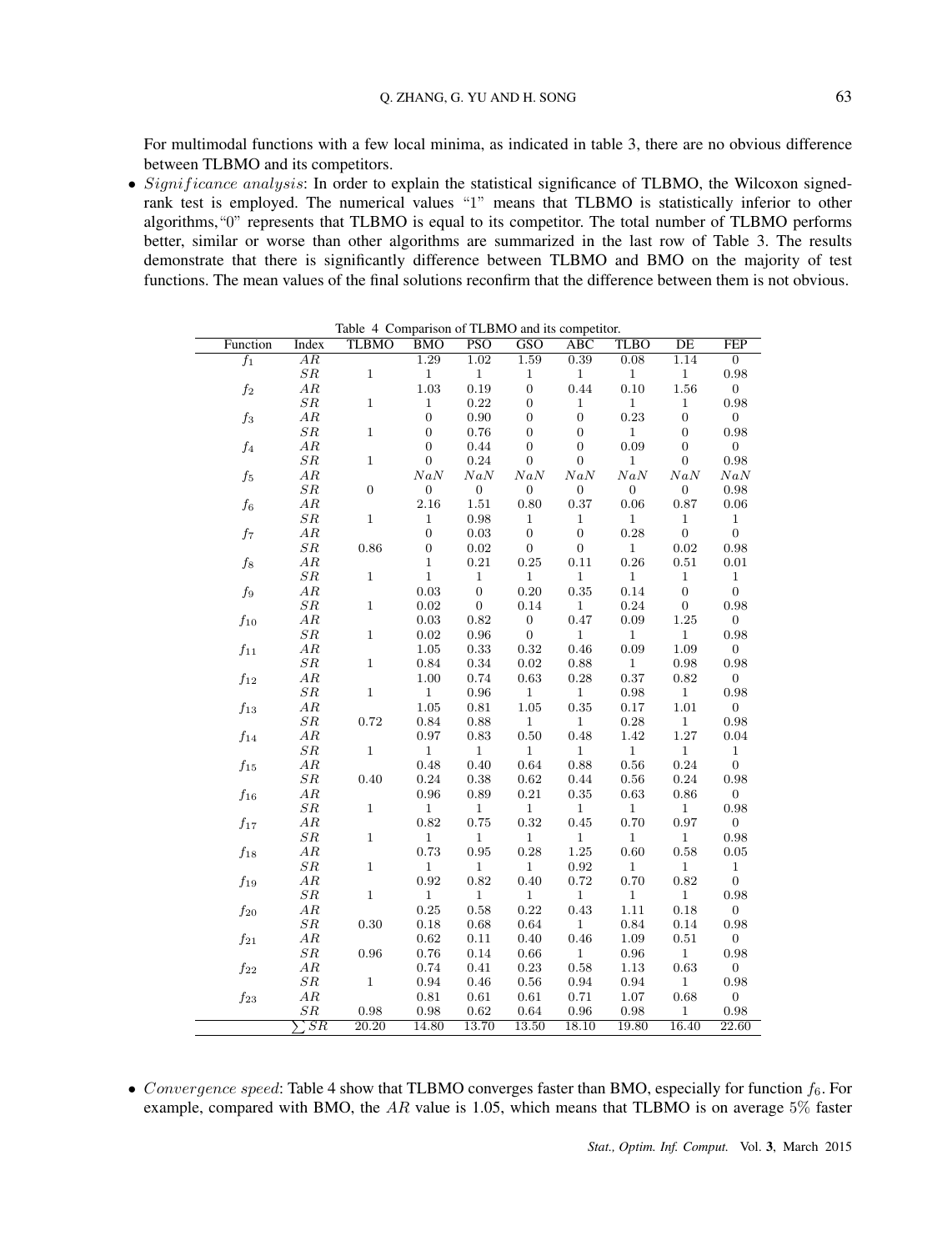For multimodal functions with a few local minima, as indicated in table 3, there are no obvious difference between TLBMO and its competitors.

• *Significance analysis*: In order to explain the statistical significance of TLBMO, the Wilcoxon signedrank test is employed. The numerical values "1" means that TLBMO is statistically inferior to other algorithms,"0" represents that TLBMO is equal to its competitor. The total number of TLBMO performs better, similar or worse than other algorithms are summarized in the last row of Table 3. The results demonstrate that there is significantly difference between TLBMO and BMO on the majority of test functions. The mean values of the final solutions reconfirm that the difference between them is not obvious.

| Function            | Index                      | <b>TLBMO</b>     | <b>BMO</b>       | <b>PSO</b>       | GSO              | <b>ABC</b>       | <b>TLBO</b>      | DE               | FEP              |
|---------------------|----------------------------|------------------|------------------|------------------|------------------|------------------|------------------|------------------|------------------|
| $f_1$               | $\overline{AR}$            |                  | 1.29             | 1.02             | 1.59             | 0.39             | 0.08             | 1.14             | $\overline{0}$   |
|                     | ${\cal SR}$                | $\mathbf 1$      | $\mathbf{1}$     | $\,1$            | 1                | $\mathbf{1}$     | $\mathbf{1}$     | $\mathbf{1}$     | 0.98             |
| $\mathfrak{f}_2$    | AR                         |                  | $1.03\,$         | 0.19             | $\boldsymbol{0}$ | 0.44             | $0.10\,$         | $1.56\,$         | $\overline{0}$   |
|                     | ${\cal SR}$                | $\mathbf{1}$     | $\mathbf 1$      | $0.22\,$         | $\overline{0}$   | 1                | $\mathbf{1}$     | 1                | 0.98             |
| $f_3$               | ${\cal AR}$                |                  | $\boldsymbol{0}$ | 0.90             | $\boldsymbol{0}$ | $\overline{0}$   | 0.23             | $\boldsymbol{0}$ | $\boldsymbol{0}$ |
|                     | ${\cal SR}$                | $\mathbf 1$      | $\boldsymbol{0}$ | 0.76             | $\boldsymbol{0}$ | $\boldsymbol{0}$ | $\,1$            | $\boldsymbol{0}$ | 0.98             |
| $f_4$               | AR                         |                  | $\boldsymbol{0}$ | 0.44             | $\boldsymbol{0}$ | $\boldsymbol{0}$ | 0.09             | $\boldsymbol{0}$ | $\overline{0}$   |
|                     | ${\cal SR}$                | $\mathbf{1}$     | $\boldsymbol{0}$ | $0.24\,$         | $\boldsymbol{0}$ | $\boldsymbol{0}$ | $\mathbf{1}$     | $\boldsymbol{0}$ | 0.98             |
| $f_5$               | AR                         |                  | NaN              | NaN              | NaN              | NaN              | NaN              | NaN              | NaN              |
|                     | ${\cal SR}$                | $\boldsymbol{0}$ | $\boldsymbol{0}$ | $\boldsymbol{0}$ | $\boldsymbol{0}$ | $\boldsymbol{0}$ | $\boldsymbol{0}$ | $\boldsymbol{0}$ | 0.98             |
| $f_{\rm 6}$         | ${\cal AR}$                |                  | $2.16\,$         | 1.51             | 0.80             | 0.37             | 0.06             | 0.87             | $0.06\,$         |
|                     | SR                         | $\mathbf 1$      | $\mathbf{1}$     | 0.98             | $\mathbf 1$      | 1                | $\mathbf{1}$     | $\mathbf 1$      | $\mathbf{1}$     |
|                     | AR                         |                  | $\overline{0}$   | 0.03             | $\mathbf{0}$     | $\mathbf{0}$     | 0.28             | $\boldsymbol{0}$ | $\boldsymbol{0}$ |
| $f_7\,$             | SR                         | 0.86             | $\boldsymbol{0}$ |                  | $\boldsymbol{0}$ | $\boldsymbol{0}$ | $\mathbf{1}$     | 0.02             | 0.98             |
|                     |                            |                  |                  | $\rm 0.02$       |                  |                  |                  |                  |                  |
| $f_8$               | AR                         | $\mathbf{1}$     | $\mathbf 1$      | $\rm 0.21$       | 0.25             | 0.11             | 0.26             | 0.51             | 0.01             |
|                     | SR                         |                  | $\,1\,$          | $\mathbf{1}$     | $\mathbf{1}$     | $\mathbf{1}$     | $\mathbf{1}$     | $\,1$            | $\,1$            |
| $f_9$               | ${\cal AR}$                |                  | 0.03             | $\boldsymbol{0}$ | $0.20\,$         | 0.35             | 0.14             | $\overline{0}$   | $\boldsymbol{0}$ |
|                     | SR                         | $\mathbf{1}$     | 0.02             | $\boldsymbol{0}$ | 0.14             | $\mathbf{1}$     | $0.24\,$         | $\boldsymbol{0}$ | 0.98             |
| $f_\mathrm{10}$     | AR                         |                  | $\rm 0.03$       | 0.82             | $\boldsymbol{0}$ | 0.47             | 0.09             | 1.25             | $\boldsymbol{0}$ |
|                     | ${\cal SR}$                | $\mathbf{1}$     | 0.02             | $\rm 0.96$       | $\mathbf{0}$     | $\mathbf{1}$     | $\mathbf{1}$     | $\mathbf{1}$     | 0.98             |
| $\mathfrak{f}_{11}$ | AR                         |                  | 1.05             | 0.33             | 0.32             | 0.46             | 0.09             | 1.09             | $\overline{0}$   |
|                     | ${\cal SR}$                | $\mathbf{1}$     | $\rm 0.84$       | $0.34\,$         | $\rm 0.02$       | 0.88             | $\,1$            | $\rm 0.98$       | 0.98             |
| $f_\mathrm{12}$     | AR                         |                  | 1.00             | 0.74             | 0.63             | 0.28             | 0.37             | 0.82             | $\boldsymbol{0}$ |
|                     | ${\cal SR}$                | $\mathbf{1}$     | $\mathbf{1}$     | 0.96             | $\mathbf{1}$     | $\mathbf{1}$     | 0.98             | $\mathbf{1}$     | 0.98             |
| $f_{13}$            | AR                         |                  | $1.05\,$         | $\rm 0.81$       | $1.05\,$         | 0.35             | 0.17             | $1.01\,$         | $\boldsymbol{0}$ |
|                     | ${\cal SR}$                | 0.72             | 0.84             | 0.88             | $\,1$            | $\mathbf{1}$     | 0.28             | $\,1$            | 0.98             |
| $f_{14}$            | AR                         |                  | 0.97             | 0.83             | $0.50\,$         | 0.48             | 1.42             | 1.27             | 0.04             |
|                     | ${\cal SR}$                | $\mathbf{1}$     | $\mathbf{1}$     | $\mathbf 1$      | $\,1$            | $\,1$            | $\,1$            | $\mathbf 1$      | $\,1$            |
| $f_{15}$            | AR                         |                  | 0.48             | 0.40             | 0.64             | 0.88             | 0.56             | 0.24             | $\boldsymbol{0}$ |
|                     | ${\cal SR}$                | 0.40             | $\rm 0.24$       | $\rm 0.38$       | 0.62             | 0.44             | $\,0.56$         | 0.24             | 0.98             |
| $f_{16}$            | ${\cal AR}$                |                  | $\rm 0.96$       | $0.89\,$         | $\rm 0.21$       | $\rm 0.35$       | $\,0.63\,$       | $0.86\,$         | $\boldsymbol{0}$ |
|                     | SR                         | $\mathbf{1}$     | $\mathbf{1}$     | $\mathbf{1}$     | $\mathbf{1}$     | $\mathbf{1}$     | $\mathbf{1}$     | $\mathbf{1}$     | 0.98             |
| $f_{17}$            | AR                         |                  | 0.82             | 0.75             | 0.32             | 0.45             | 0.70             | 0.97             | $\boldsymbol{0}$ |
|                     | SR                         | $\mathbf 1$      | $\mathbf{1}$     | $\mathbf{1}$     | $\mathbf{1}$     | $\mathbf{1}$     | $\mathbf{1}$     | $\mathbf{1}$     | 0.98             |
| $f_{18}$            | AR                         |                  | 0.73             | 0.95             | 0.28             | $1.25\,$         | 0.60             | 0.58             | 0.05             |
|                     | ${\cal SR}$                | $\mathbf 1$      | $\,1\,$          | $\,1$            | $\,1$            | 0.92             | $\,1$            | $\,1$            | $\,1$            |
| $f_{19}$            | AR                         |                  | 0.92             | 0.82             | 0.40             | 0.72             | 0.70             | 0.82             | $\boldsymbol{0}$ |
|                     | SR                         | $\,1$            | $\mathbf{1}$     | $\,1$            | $\mathbf{1}$     | $\mathbf{1}$     | $\mathbf{1}$     | $\mathbf{1}$     | 0.98             |
| $f_{20}$            | AR                         |                  | $\rm 0.25$       | 0.58             | 0.22             | 0.43             | $1.11\,$         | 0.18             | $\boldsymbol{0}$ |
|                     | SR                         | 0.30             | 0.18             | 0.68             | 0.64             | $\mathbf{1}$     | $\rm 0.84$       | 0.14             | 0.98             |
| $f_{21}$            | ${\cal AR}$                |                  | 0.62             | $0.11\,$         | 0.40             | 0.46             | 1.09             | 0.51             | $\boldsymbol{0}$ |
|                     | ${\cal SR}$                | 0.96             | 0.76             | 0.14             | 0.66             | $\mathbf{1}$     | 0.96             | $\mathbf{1}$     | 0.98             |
|                     | AR                         |                  | 0.74             | 0.41             | 0.23             | 0.58             | 1.13             | 0.63             | $\boldsymbol{0}$ |
| $f_{22}$            |                            | $\mathbf{1}$     |                  |                  |                  |                  |                  | $\mathbf{1}$     |                  |
|                     | ${\cal SR}$                |                  | $\rm 0.94$       | $0.46\,$         | $\rm 0.56$       | $\rm 0.94$       | $\rm 0.94$       |                  | 0.98             |
| $f_{23}$            | ${\cal AR}$<br>${\cal SR}$ |                  | 0.81             | 0.61             | 0.61             | 0.71             | $1.07\,$         | 0.68             | $\boldsymbol{0}$ |
|                     |                            | 0.98             | 0.98             | 0.62             | 0.64             | 0.96             | 0.98             | 1                | 0.98             |
|                     | $\overline{SR}$            | 20.20            | 14.80            | 13.70            | 13.50            | 18.10            | 19.80            | 16.40            | 22.60            |

Table 4 Comparison of TLBMO and its competitor.

• *Convergence speed*: Table 4 show that TLBMO converges faster than BMO, especially for function  $f_6$ . For example, compared with BMO, the *AR* value is 1.05, which means that TLBMO is on average 5% faster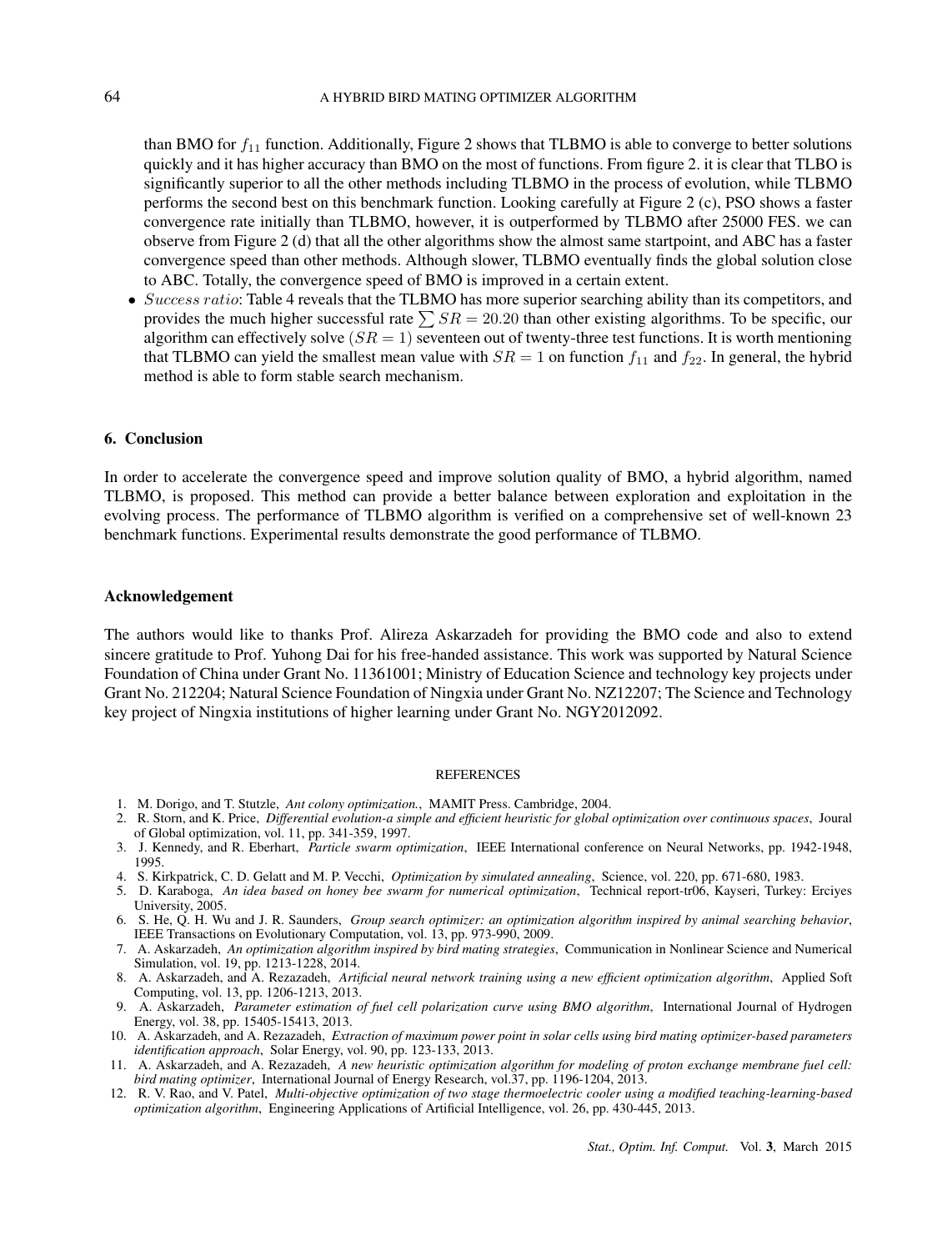than BMO for  $f_{11}$  function. Additionally, Figure 2 shows that TLBMO is able to converge to better solutions quickly and it has higher accuracy than BMO on the most of functions. From figure 2. it is clear that TLBO is significantly superior to all the other methods including TLBMO in the process of evolution, while TLBMO performs the second best on this benchmark function. Looking carefully at Figure 2 (c), PSO shows a faster convergence rate initially than TLBMO, however, it is outperformed by TLBMO after 25000 FES. we can observe from Figure 2 (d) that all the other algorithms show the almost same startpoint, and ABC has a faster convergence speed than other methods. Although slower, TLBMO eventually finds the global solution close to ABC. Totally, the convergence speed of BMO is improved in a certain extent.

• *Success ratio*: Table 4 reveals that the TLBMO has more superior searching ability than its competitors, and provides the much higher successful rate  $\sum SR = 20.20$  than other existing algorithms. To be specific, our algorithm can effectively solve  $(SR = 1)$  seventeen out of twenty-three test functions. It is worth mentioning that TLBMO can yield the smallest mean value with  $SR = 1$  on function  $f_{11}$  and  $f_{22}$ . In general, the hybrid method is able to form stable search mechanism.

#### 6. Conclusion

In order to accelerate the convergence speed and improve solution quality of BMO, a hybrid algorithm, named TLBMO, is proposed. This method can provide a better balance between exploration and exploitation in the evolving process. The performance of TLBMO algorithm is verified on a comprehensive set of well-known 23 benchmark functions. Experimental results demonstrate the good performance of TLBMO.

#### Acknowledgement

The authors would like to thanks Prof. Alireza Askarzadeh for providing the BMO code and also to extend sincere gratitude to Prof. Yuhong Dai for his free-handed assistance. This work was supported by Natural Science Foundation of China under Grant No. 11361001; Ministry of Education Science and technology key projects under Grant No. 212204; Natural Science Foundation of Ningxia under Grant No. NZ12207; The Science and Technology key project of Ningxia institutions of higher learning under Grant No. NGY2012092.

#### REFERENCES

- 1. M. Dorigo, and T. Stutzle, *Ant colony optimization.*, MAMIT Press. Cambridge, 2004.
- 2. R. Storn, and K. Price, *Differential evolution-a simple and efficient heuristic for global optimization over continuous spaces*, Joural of Global optimization, vol. 11, pp. 341-359, 1997.
- 3. J. Kennedy, and R. Eberhart, *Particle swarm optimization*, IEEE International conference on Neural Networks, pp. 1942-1948, 1995.
- 4. S. Kirkpatrick, C. D. Gelatt and M. P. Vecchi, *Optimization by simulated annealing*, Science, vol. 220, pp. 671-680, 1983.
- 5. D. Karaboga, *An idea based on honey bee swarm for numerical optimization*, Technical report-tr06, Kayseri, Turkey: Erciyes University, 2005.
- 6. S. He, Q. H. Wu and J. R. Saunders, *Group search optimizer: an optimization algorithm inspired by animal searching behavior*, IEEE Transactions on Evolutionary Computation, vol. 13, pp. 973-990, 2009.
- 7. A. Askarzadeh, *An optimization algorithm inspired by bird mating strategies*, Communication in Nonlinear Science and Numerical Simulation, vol. 19, pp. 1213-1228, 2014.
- 8. A. Askarzadeh, and A. Rezazadeh, *Artificial neural network training using a new efficient optimization algorithm*, Applied Soft Computing, vol. 13, pp. 1206-1213, 2013.
- 9. A. Askarzadeh, *Parameter estimation of fuel cell polarization curve using BMO algorithm*, International Journal of Hydrogen Energy, vol. 38, pp. 15405-15413, 2013.
- 10. A. Askarzadeh, and A. Rezazadeh, *Extraction of maximum power point in solar cells using bird mating optimizer-based parameters identification approach*, Solar Energy, vol. 90, pp. 123-133, 2013.
- 11. A. Askarzadeh, and A. Rezazadeh, *A new heuristic optimization algorithm for modeling of proton exchange membrane fuel cell: bird mating optimizer*, International Journal of Energy Research, vol.37, pp. 1196-1204, 2013.
- 12. R. V. Rao, and V. Patel, *Multi-objective optimization of two stage thermoelectric cooler using a modified teaching-learning-based optimization algorithm*, Engineering Applications of Artificial Intelligence, vol. 26, pp. 430-445, 2013.